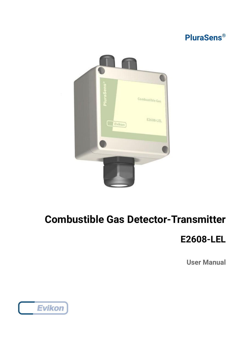



# **Combustible Gas Detector-Transmitter**

## **E2608-LEL**

**User Manual**

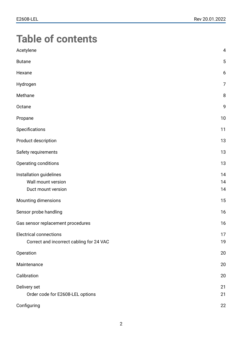# **Table of contents**

| Acetylene                                                                 | 4              |
|---------------------------------------------------------------------------|----------------|
| <b>Butane</b>                                                             | $\sqrt{5}$     |
| Hexane                                                                    | 6              |
| Hydrogen                                                                  | $\overline{7}$ |
| Methane                                                                   | 8              |
| Octane                                                                    | 9              |
| Propane                                                                   | 10             |
| Specifications                                                            | 11             |
| Product description                                                       | 13             |
| Safety requirements                                                       | 13             |
| Operating conditions                                                      | 13             |
| Installation guidelines<br>Wall mount version<br>Duct mount version       | 14<br>14<br>14 |
| Mounting dimensions                                                       | 15             |
| Sensor probe handling                                                     | 16             |
| Gas sensor replacement procedures                                         | 16             |
| <b>Electrical connections</b><br>Correct and incorrect cabling for 24 VAC | 17<br>19       |
| Operation                                                                 | 20             |
| Maintenance                                                               | 20             |
| Calibration                                                               | 20             |
| Delivery set<br>Order code for E2608-LEL options                          | 21<br>21       |
| Configuring                                                               | 22             |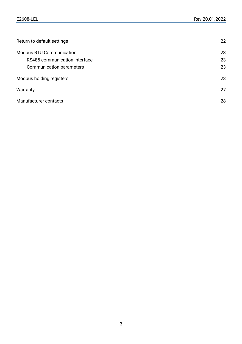| Return to default settings      | 22 |
|---------------------------------|----|
| <b>Modbus RTU Communication</b> | 23 |
| RS485 communication interface   | 23 |
| Communication parameters        | 23 |
| Modbus holding registers        | 23 |
| Warranty                        | 27 |
| Manufacturer contacts           | 28 |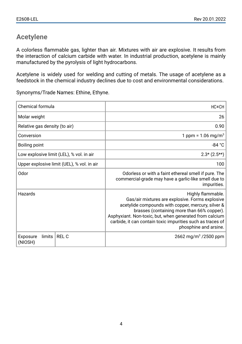#### <span id="page-3-0"></span>**Acetylene**

A colorless flammable gas, lighter than air. Mixtures with air are explosive. It results from the interaction of calcium carbide with water. In industrial production, acetylene is mainly manufactured by the pyrolysis of light hydrocarbons.

Acetylene is widely used for welding and cutting of metals. The usage of acetylene as a feedstock in the chemical industry declines due to cost and environmental considerations.

Synonyms/Trade Names: Ethine, Ethyne.

| <b>Chemical formula</b>       |                                            | HC=CH                                                                                                                                                                                                                                                                                                                        |
|-------------------------------|--------------------------------------------|------------------------------------------------------------------------------------------------------------------------------------------------------------------------------------------------------------------------------------------------------------------------------------------------------------------------------|
| Molar weight                  |                                            | 26                                                                                                                                                                                                                                                                                                                           |
| Relative gas density (to air) |                                            | 0.90                                                                                                                                                                                                                                                                                                                         |
| Conversion                    |                                            | 1 ppm = $1.06 \text{ mg/m}^3$                                                                                                                                                                                                                                                                                                |
| Boiling point                 |                                            | $-84 °C$                                                                                                                                                                                                                                                                                                                     |
|                               | Low explosive limit (LEL), % vol. in air   | $2.3*(2.5**)$                                                                                                                                                                                                                                                                                                                |
|                               | Upper explosive limit (UEL), % vol. in air | 100                                                                                                                                                                                                                                                                                                                          |
| <b>Odor</b>                   |                                            | Odorless or with a faint ethereal smell if pure. The<br>commercial-grade may have a garlic-like smell due to<br>impurities.                                                                                                                                                                                                  |
| Hazards                       |                                            | Highly flammable.<br>Gas/air mixtures are explosive. Forms explosive<br>acetylide compounds with copper, mercury, silver &<br>brasses (containing more than 66% copper).<br>Asphyxiant. Non-toxic, but, when generated from calcium  <br>carbide, it can contain toxic impurities such as traces of<br>phosphine and arsine. |
| limits<br>Exposure<br>(NIOSH) | <b>REL C</b>                               | 2662 mg/m <sup>3</sup> /2500 ppm                                                                                                                                                                                                                                                                                             |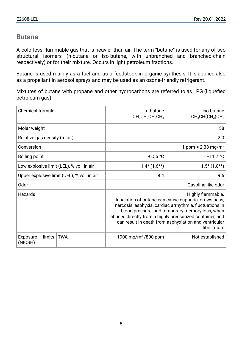#### <span id="page-4-0"></span>**Butane**

A colorless flammable gas that is heavier than air. The term "butane" is used for any of two structural isomers (n-butane or iso-butane, with unbranched and branched-chain respectively) or for their mixture. Occurs in light petroleum fractions.

Butane is used mainly as a fuel and as a feedstock in organic synthesis. It is applied also as a propellant in aerosol sprays and may be used as an ozone-friendly refrigerant.

Mixtures of butane with propane and other hydrocarbons are referred to as LPG (liquefied petroleum gas).

| Chemical formula                         |                                            | n-butane<br>$CH3CH2CH2CH3$                                                                                                                                                                                                                                                                                                    | iso-butane<br>$CH3CH(CH3)CH3$ |
|------------------------------------------|--------------------------------------------|-------------------------------------------------------------------------------------------------------------------------------------------------------------------------------------------------------------------------------------------------------------------------------------------------------------------------------|-------------------------------|
| Molar weight                             |                                            |                                                                                                                                                                                                                                                                                                                               | 58                            |
| Relative gas density (to air)            |                                            |                                                                                                                                                                                                                                                                                                                               | 2.0                           |
| Conversion                               |                                            | 1 ppm = $2.38 \text{ mg/m}^3$                                                                                                                                                                                                                                                                                                 |                               |
| Boiling point                            |                                            | $-0.56 °C$<br>$-11.7 °C$                                                                                                                                                                                                                                                                                                      |                               |
| Low explosive limit (LEL), % vol. in air |                                            | $1.4*$ (1.6**)                                                                                                                                                                                                                                                                                                                | $1.5*(1.8**)$                 |
|                                          | Upper explosive limit (UEL), % vol. in air | 8.4                                                                                                                                                                                                                                                                                                                           | 9.6                           |
| Odor                                     |                                            | Gasoline-like odor                                                                                                                                                                                                                                                                                                            |                               |
| Hazards                                  |                                            | Highly flammable.<br>Inhalation of butane can cause euphoria, drowsiness,<br>narcosis, asphyxia, cardiac arrhythmia, fluctuations in<br>blood pressure, and temporary memory loss, when<br>abused directly from a highly pressurized container, and<br>can result in death from asphyxiation and ventricular<br>fibrillation. |                               |
| Exposure<br>limits<br>(NIOSH)            | <b>TWA</b>                                 | 1900 mg/m <sup>3</sup> /800 ppm                                                                                                                                                                                                                                                                                               | Not established               |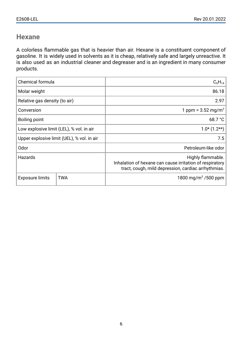#### <span id="page-5-0"></span>**Hexane**

A colorless flammable gas that is heavier than air. Hexane is a constituent component of gasoline. It is widely used in solvents as it is cheap, relatively safe and largely unreactive. It is also used as an industrial cleaner and degreaser and is an ingredient in many consumer products.

| Chemical formula                         |                                            | $C_6H_{14}$                                                                                                                          |
|------------------------------------------|--------------------------------------------|--------------------------------------------------------------------------------------------------------------------------------------|
| Molar weight                             |                                            | 86.18                                                                                                                                |
| Relative gas density (to air)            |                                            | 2.97                                                                                                                                 |
| Conversion                               |                                            | 1 ppm = $3.52 \text{ mg/m}^3$                                                                                                        |
| <b>Boiling point</b>                     |                                            | 68.7 °C                                                                                                                              |
| Low explosive limit (LEL), % vol. in air |                                            | $1.0*(1.2**)$                                                                                                                        |
|                                          | Upper explosive limit (UEL), % vol. in air | 7.5                                                                                                                                  |
| Odor                                     |                                            | Petroleum-like odor                                                                                                                  |
| Hazards                                  |                                            | Highly flammable.<br>Inhalation of hexane can cause irritation of respiratory<br>tract, cough, mild depression, cardiac arrhythmias. |
| <b>Exposure limits</b>                   | <b>TWA</b>                                 | 1800 mg/m <sup>3</sup> /500 ppm                                                                                                      |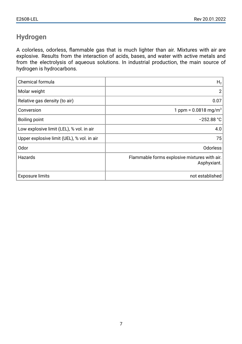## <span id="page-6-0"></span>**Hydrogen**

A colorless, odorless, flammable gas that is much lighter than air. Mixtures with air are explosive. Results from the interaction of acids, bases, and water with active metals and from the electrolysis of aqueous solutions. In industrial production, the main source of hydrogen is hydrocarbons.

| Chemical formula                           | H <sub>2</sub>                                              |
|--------------------------------------------|-------------------------------------------------------------|
| Molar weight                               | $\overline{2}$                                              |
| Relative gas density (to air)              | 0.07                                                        |
| Conversion                                 | 1 ppm = $0.0818$ mg/m <sup>3</sup>                          |
| Boiling point                              | $-252.88 °C$                                                |
| Low explosive limit (LEL), % vol. in air   | 4.0                                                         |
| Upper explosive limit (UEL), % vol. in air | 75                                                          |
| Odor                                       | <b>Odorless</b>                                             |
| Hazards                                    | Flammable forms explosive mixtures with air.<br>Asphyxiant. |
| <b>Exposure limits</b>                     | not established                                             |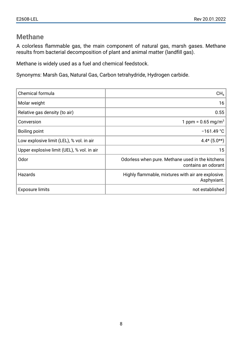#### <span id="page-7-0"></span>**Methane**

A colorless flammable gas, the main component of natural gas, marsh gases. Methane results from bacterial decomposition of plant and animal matter (landfill gas).

Methane is widely used as a fuel and chemical feedstock.

Synonyms: Marsh Gas, Natural Gas, Carbon tetrahydride, Hydrogen carbide.

| Chemical formula                           | CH <sub>4</sub>                                                         |
|--------------------------------------------|-------------------------------------------------------------------------|
| Molar weight                               | 16                                                                      |
| Relative gas density (to air)              | 0.55                                                                    |
| Conversion                                 | 1 ppm = $0.65 \,\mathrm{mg/m^3}$                                        |
| Boiling point                              | $-161.49 °C$                                                            |
| Low explosive limit (LEL), % vol. in air   | $4.4*(5.0**)$                                                           |
| Upper explosive limit (UEL), % vol. in air | 15 <sup>1</sup>                                                         |
| Odor                                       | Odorless when pure. Methane used in the kitchens<br>contains an odorant |
| Hazards                                    | Highly flammable, mixtures with air are explosive.<br>Asphyxiant.       |
| <b>Exposure limits</b>                     | not established                                                         |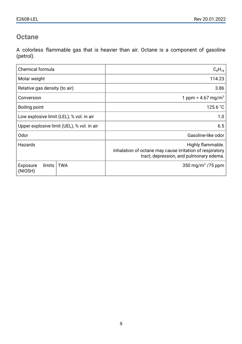#### <span id="page-8-0"></span>**Octane**

A colorless flammable gas that is heavier than air. Octane is a component of gasoline (petrol).

| Chemical formula                            | $C_8H_{18}$                                                                                                              |
|---------------------------------------------|--------------------------------------------------------------------------------------------------------------------------|
| Molar weight                                | 114.23                                                                                                                   |
| Relative gas density (to air)               | 3.86                                                                                                                     |
| Conversion                                  | 1 ppm = $4.67 \text{ mg/m}^3$                                                                                            |
| Boiling point                               | 125.6 °C                                                                                                                 |
| Low explosive limit (LEL), % vol. in air    | 1.0                                                                                                                      |
| Upper explosive limit (UEL), % vol. in air  | 6.5                                                                                                                      |
| Odor                                        | Gasoline-like odor                                                                                                       |
| Hazards                                     | Highly flammable.<br>Inhalation of octane may cause irritation of respiratory<br>tract, depression, and pulmonary edema. |
| <b>TWA</b><br>limits<br>Exposure<br>(NIOSH) | 350 mg/m <sup>3</sup> /75 ppm                                                                                            |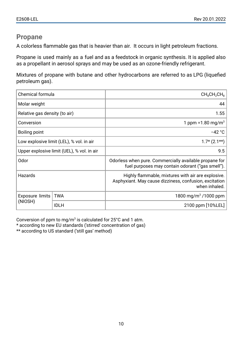#### <span id="page-9-0"></span>**Propane**

A colorless flammable gas that is heavier than air. It occurs in light petroleum fractions.

Propane is used mainly as a fuel and as a feedstock in organic synthesis. It is applied also as a propellant in aerosol sprays and may be used as an ozone-friendly refrigerant.

Mixtures of propane with butane and other hydrocarbons are referred to as LPG (liquefied petroleum gas).

| <b>Chemical formula</b>       |                                            | $CH_8CH_2CH_8$                                                                                                                |
|-------------------------------|--------------------------------------------|-------------------------------------------------------------------------------------------------------------------------------|
| Molar weight                  |                                            | 44                                                                                                                            |
| Relative gas density (to air) |                                            | 1.55                                                                                                                          |
| Conversion                    |                                            | 1 ppm = $1.80 \,\mathrm{mg/m^3}$                                                                                              |
| Boiling point                 |                                            | $-42 °C$                                                                                                                      |
|                               | Low explosive limit (LEL), % vol. in air   | $1.7*(2.1**)$                                                                                                                 |
|                               | Upper explosive limit (UEL), % vol. in air | 9.5                                                                                                                           |
| <b>Odor</b>                   |                                            | Odorless when pure. Commercially available propane for<br>fuel purposes may contain odorant ("gas smell").                    |
| Hazards                       |                                            | Highly flammable, mixtures with air are explosive.<br>Asphyxiant. May cause dizziness, confusion, excitation<br>when inhaled. |
| Exposure limits               | <b>TWA</b>                                 | 1800 mg/m <sup>3</sup> /1000 ppm                                                                                              |
| (NIOSH)                       | <b>IDLH</b>                                | 2100 ppm [10%LEL]                                                                                                             |

Conversion of ppm to mg/m<sup>3</sup> is calculated for 25°C and 1 atm.

\* according to new EU standards ('stirred' concentration of gas)

\*\* according to US standard ('still gas' method)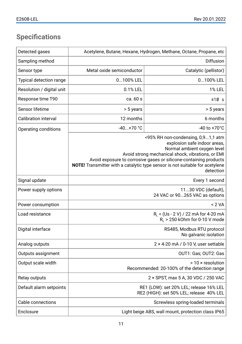## <span id="page-10-0"></span>**Specifications**

| Detected gases              | Acetylene, Butane, Hexane, Hydrogen, Methane, Octane, Propane, etc |                                                                                                                                                                                                                                                                                                                          |
|-----------------------------|--------------------------------------------------------------------|--------------------------------------------------------------------------------------------------------------------------------------------------------------------------------------------------------------------------------------------------------------------------------------------------------------------------|
| Sampling method             |                                                                    | <b>Diffusion</b>                                                                                                                                                                                                                                                                                                         |
| Sensor type                 | Metal oxide semiconductor                                          | Catalytic (pellistor)                                                                                                                                                                                                                                                                                                    |
| Typical detection range     | 0100% LEL                                                          | 0100% LEL                                                                                                                                                                                                                                                                                                                |
| Resolution / digital unit   | 0.1% LEL                                                           | 1% LEL                                                                                                                                                                                                                                                                                                                   |
| Response time T90           | ca. 60 s                                                           | ≤10 $s$                                                                                                                                                                                                                                                                                                                  |
| Sensor lifetime             | > 5 years                                                          | > 5 years                                                                                                                                                                                                                                                                                                                |
| <b>Calibration interval</b> | 12 months                                                          | 6 months                                                                                                                                                                                                                                                                                                                 |
| Operating conditions        | $-40+70$ °C                                                        | $-40$ to $+70^{\circ}$ C                                                                                                                                                                                                                                                                                                 |
|                             |                                                                    | <95% RH non-condensing, 0,91,1 atm<br>explosion safe indoor areas,<br>Normal ambient oxygen level<br>Avoid strong mechanical shock, vibrations, or EMI<br>Avoid exposure to corrosive gases or silicone-containing products<br>NOTE! Transmitter with a catalytic type sensor is not suitable for acetylene<br>detection |
| Signal update               |                                                                    | Every 1 second                                                                                                                                                                                                                                                                                                           |
| Power supply options        |                                                                    | 1130 VDC (default),<br>24 VAC or 90265 VAC as options                                                                                                                                                                                                                                                                    |
| Power consumption           |                                                                    | < 2 VA                                                                                                                                                                                                                                                                                                                   |
| Load resistance             |                                                                    | R <sub>L</sub> < (Us - 2 V) / 22 mA for 4-20 mA<br>$R1$ > 250 kOhm for 0-10 V mode                                                                                                                                                                                                                                       |
| Digital interface           |                                                                    | RS485, Modbus RTU protocol<br>No galvanic isolation                                                                                                                                                                                                                                                                      |
| Analog outputs              |                                                                    | $2 \times 4$ -20 mA / 0-10 V, user settable                                                                                                                                                                                                                                                                              |
| Outputs assignment          |                                                                    | OUT1: Gas; OUT2: Gas                                                                                                                                                                                                                                                                                                     |
| Output scale width          |                                                                    | $>10 \times$ resolution<br>Recommended: 20-100% of the detection range                                                                                                                                                                                                                                                   |
| Relay outputs               |                                                                    | 2 × SPST, max 5 A, 30 VDC / 250 VAC                                                                                                                                                                                                                                                                                      |
| Default alarm setpoints     |                                                                    | RE1 (LOW): set 20% LEL; release 16% LEL<br>RE2 (HIGH): set 50% LEL; release 40% LEL                                                                                                                                                                                                                                      |
| Cable connections           |                                                                    | Screwless spring-loaded terminals                                                                                                                                                                                                                                                                                        |
| Enclosure                   |                                                                    | Light beige ABS, wall mount, protection class IP65                                                                                                                                                                                                                                                                       |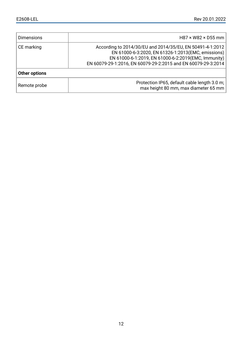| <b>Dimensions</b> | $H87 \times W82 \times D55$ mm                                                                                                                                                                                                           |
|-------------------|------------------------------------------------------------------------------------------------------------------------------------------------------------------------------------------------------------------------------------------|
| CE marking        | According to 2014/30/EU and 2014/35/EU, EN 50491-4-1:2012<br>EN 61000-6-3:2020, EN 61326-1:2013 (EMC, emissions)<br>EN 61000-6-1:2019, EN 61000-6-2:2019(EMC, Immunity)<br>EN 60079-29-1:2016, EN 60079-29-2:2015 and EN 60079-29-3:2014 |
| Other options     |                                                                                                                                                                                                                                          |
| Remote probe      | Protection IP65, default cable length 3.0 m;<br>max height 80 mm, max diameter 65 mm                                                                                                                                                     |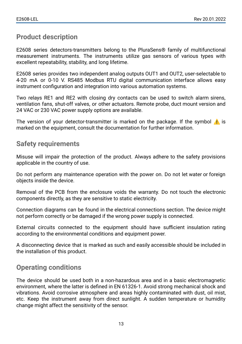#### <span id="page-12-0"></span>**Product description**

E2608 series detectors-transmitters belong to the PluraSens® family of multifunctional measurement instruments. The instruments utilize gas sensors of various types with excellent repeatability, stability, and long lifetime.

E2608 series provides two independent analog outputs OUT1 and OUT2, user-selectable to 4-20 mA or 0-10 V. RS485 Modbus RTU digital communication interface allows easy instrument configuration and integration into various automation systems.

Two relays RE1 and RE2 with closing dry contacts can be used to switch alarm sirens, ventilation fans, shut-off valves, or other actuators. Remote probe, duct mount version and 24 VAC or 230 VAC power supply options are available.

The version of your detector-transmitter is marked on the package. If the symbol  $\Lambda$  is marked on the equipment, consult the documentation for further information.

#### <span id="page-12-1"></span>**Safety requirements**

Misuse will impair the protection of the product. Always adhere to the safety provisions applicable in the country of use.

Do not perform any maintenance operation with the power on. Do not let water or foreign objects inside the device.

Removal of the PCB from the enclosure voids the warranty. Do not touch the electronic components directly, as they are sensitive to static electricity.

Connection diagrams can be found in the electrical connections section. The device might not perform correctly or be damaged if the wrong power supply is connected.

External circuits connected to the equipment should have sufficient insulation rating according to the environmental conditions and equipment power.

A disconnecting device that is marked as such and easily accessible should be included in the installation of this product.

#### <span id="page-12-2"></span>**Operating conditions**

The device should be used both in a non-hazardous area and in a basic electromagnetic environment, where the latter is defined in EN 61326-1. Avoid strong mechanical shock and vibrations. Avoid corrosive atmosphere and areas highly contaminated with dust, oil mist, etc. Keep the instrument away from direct sunlight. A sudden temperature or humidity change might affect the sensitivity of the sensor.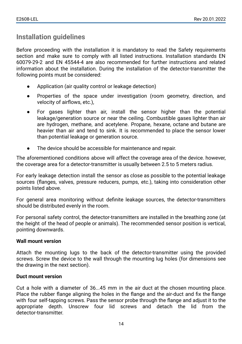## <span id="page-13-0"></span>**Installation guidelines**

Before proceeding with the installation it is mandatory to read the Safety requirements section and make sure to comply with all listed instructions. Installation standards EN 60079-29-2 and EN 45544-4 are also recommended for further instructions and related information about the installation. During the installation of the detector-transmitter the following points must be considered:

- Application (air quality control or leakage detection)
- Properties of the space under investigation (room geometry, direction, and velocity of airflows, etc.),
- For gases lighter than air, install the sensor higher than the potential leakage/generation source or near the ceiling. Combustible gases lighter than air are hydrogen, methane, and acetylene. Propane, hexane, octane and butane are heavier than air and tend to sink. It is recommended to place the sensor lower than potential leakage or generation source.
- The device should be accessible for maintenance and repair.

The aforementioned conditions above will affect the coverage area of the device. however, the coverage area for a detector-transmitter is usually between 2.5 to 5 meters radius.

For early leakage detection install the sensor as close as possible to the potential leakage sources (flanges, valves, pressure reducers, pumps, etc.), taking into consideration other points listed above.

For general area monitoring without definite leakage sources, the detector-transmitters should be distributed evenly in the room.

For personal safety control, the detector-transmitters are installed in the breathing zone (at the height of the head of people or animals). The recommended sensor position is vertical, pointing downwards.

#### <span id="page-13-1"></span>**Wall mount version**

Attach the mounting lugs to the back of the detector-transmitter using the provided screws. Screw the device to the wall through the mounting lug holes (for dimensions see the drawing in the next section).

#### <span id="page-13-2"></span>**Duct mount version**

Cut a hole with a diameter of 36...45 mm in the air duct at the chosen mounting place. Place the rubber flange aligning the holes in the flange and the air-duct and fix the flange with four self-tapping screws. Pass the sensor probe through the flange and adjust it to the appropriate depth. Unscrew four lid screws and detach the lid from the detector-transmitter.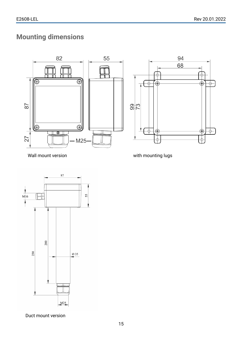## <span id="page-14-0"></span>**Mounting dimensions**





Wall mount version with mounting lugs



Duct mount version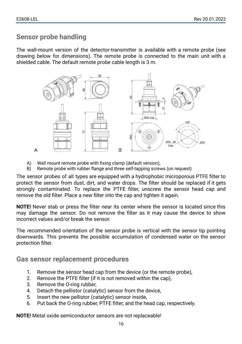#### <span id="page-15-0"></span>**Sensor probe handling**

The wall-mount version of the detector-transmitter is available with a remote probe (see drawing below for dimensions). The remote probe is connected to the main unit with a shielded cable. The default remote probe cable length is 3 m.



- A) Wall mount remote probe with fixing clamp (default version),
- B) Remote probe with rubber flange and three self-tapping screws (on request)

The sensor probes of all types are equipped with a hydrophobic microporous PTFE filter to protect the sensor from dust, dirt, and water drops. The filter should be replaced if it gets strongly contaminated. To replace the PTFE filter, unscrew the sensor head cap and remove the old filter. Place a new filter into the cap and tighten it again.

**NOTE!** Never stab or press the filter near its center where the sensor is located since this may damage the sensor. Do not remove the filter as it may cause the device to show incorrect values and/or break the sensor.

The recommended orientation of the sensor probe is vertical with the sensor tip pointing downwards. This prevents the possible accumulation of condensed water on the sensor protection filter.

<span id="page-15-1"></span>**Gas sensor replacement procedures**

- 1. Remove the sensor head cap from the device (or the remote probe),
- 2. Remove the PTFE filter (if it is not removed within the cap),
- 3. Remove the O-ring rubber,
- 4. Detach the pellistor (catalytic) sensor from the device,
- 5. Insert the new pellistor (catalytic) sensor inside,
- 6. Put back the O-ring rubber, PTFE filter, and the head cap, respectively.

**NOTE!** Metal oxide semiconductor sensors are not replaceable!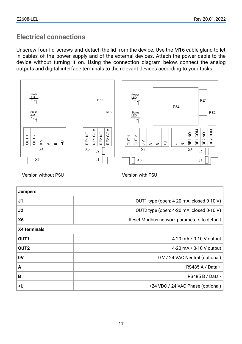## <span id="page-16-0"></span>**Electrical connections**

Unscrew four lid screws and detach the lid from the device. Use the M16 cable gland to let in cables of the power supply and of the external devices. Attach the power cable to the device without turning it on. Using the connection diagram below, connect the analog outputs and digital interface terminals to the relevant devices according to your tasks.



Version without PSU Version with PSU

| <b>Jumpers</b>   |                                            |
|------------------|--------------------------------------------|
| J1               | OUT1 type (open: 4-20 mA; closed 0-10 V)   |
| J2               | OUT2 type (open: 4-20 mA; closed 0-10 V)   |
| <b>X6</b>        | Reset Modbus network parameters to default |
| X4 terminals     |                                            |
| OUT1             | 4-20 mA / 0-10 V output                    |
| OUT <sub>2</sub> | 4-20 mA / 0-10 V output                    |
| 0V               | 0 V / 24 VAC Neutral (optional)            |
| A                | RS485 A / Data +                           |
| В                | RS485 B / Data -                           |
| +U               | +24 VDC / 24 VAC Phase (optional)          |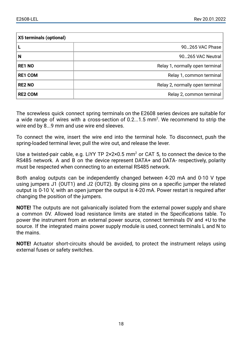| X5 terminals (optional) |                                 |  |  |  |
|-------------------------|---------------------------------|--|--|--|
|                         | 90265 VAC Phase                 |  |  |  |
| N                       | 90265 VAC Neutral               |  |  |  |
| <b>RE1 NO</b>           | Relay 1, normally open terminal |  |  |  |
| <b>RE1 COM</b>          | Relay 1, common terminal        |  |  |  |
| <b>RE2 NO</b>           | Relay 2, normally open terminal |  |  |  |
| <b>RE2 COM</b>          | Relay 2, common terminal        |  |  |  |

The screwless quick connect spring terminals on the E2608 series devices are suitable for a wide range of wires with a cross-section of  $0.2...1.5$  mm<sup>2</sup>. We recommend to strip the wire end by 8...9 mm and use wire end sleeves.

To connect the wire, insert the wire end into the terminal hole. To disconnect, push the spring-loaded terminal lever, pull the wire out, and release the lever.

Use a twisted-pair cable, e.g. LiYY TP  $2 \times 2 \times 0.5$  mm<sup>2</sup> or CAT 5, to connect the device to the RS485 network. A and B on the device represent DATA+ and DATA- respectively, polarity must be respected when connecting to an external RS485 network.

Both analog outputs can be independently changed between 4-20 mA and 0-10 V type using jumpers J1 (OUT1) and J2 (OUT2). By closing pins on a specific jumper the related output is 0-10 V, with an open jumper the output is 4-20 mA. Power restart is required after changing the position of the jumpers.

**NOTE!** The outputs are not galvanically isolated from the external power supply and share a common 0V. Allowed load resistance limits are stated in the Specifications table. To power the instrument from an external power source, connect terminals 0V and +U to the source. If the integrated mains power supply module is used, connect terminals L and N to the mains.

**NOTE!** Actuator short-circuits should be avoided, to protect the instrument relays using external fuses or safety switches.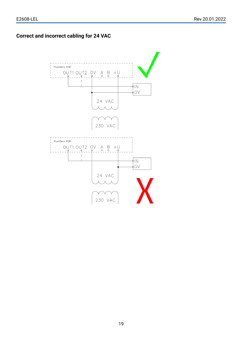#### <span id="page-18-0"></span>**Correct and incorrect cabling for 24 VAC**

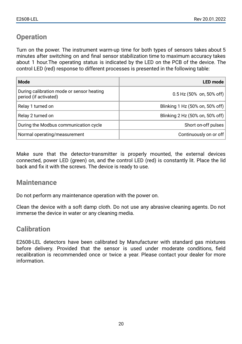## <span id="page-19-0"></span>**Operation**

Turn on the power. The instrument warm-up time for both types of sensors takes about 5 minutes after switching on and final sensor stabilization time to maximum accuracy takes about 1 hour.The operating status is indicated by the LED on the PCB of the device. The control LED (red) response to different processes is presented in the following table:

| Mode                                                               | <b>LED</b> mode                 |
|--------------------------------------------------------------------|---------------------------------|
| During calibration mode or sensor heating<br>period (if activated) | $0.5$ Hz (50% on, 50% off)      |
| Relay 1 turned on                                                  | Blinking 1 Hz (50% on, 50% off) |
| Relay 2 turned on                                                  | Blinking 2 Hz (50% on, 50% off) |
| During the Modbus communication cycle                              | Short on-off pulses             |
| Normal operating/measurement                                       | Continuously on or off          |

Make sure that the detector-transmitter is properly mounted, the external devices connected, power LED (green) on, and the control LED (red) is constantly lit. Place the lid back and fix it with the screws. The device is ready to use.

#### <span id="page-19-1"></span>**Maintenance**

Do not perform any maintenance operation with the power on.

Clean the device with a soft damp cloth. Do not use any abrasive cleaning agents. Do not immerse the device in water or any cleaning media.

#### <span id="page-19-2"></span>**Calibration**

E2608-LEL detectors have been calibrated by Manufacturer with standard gas mixtures before delivery. Provided that the sensor is used under moderate conditions, field recalibration is recommended once or twice a year. Please contact your dealer for more information.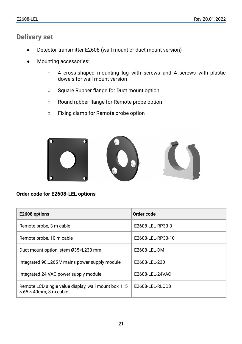#### <span id="page-20-0"></span>**Delivery set**

- Detector-transmitter E2608 (wall mount or duct mount version)
- Mounting accessories:
	- 4 cross-shaped mounting lug with screws and 4 screws with plastic dowels for wall mount version
	- Square Rubber flange for Duct mount option
	- Round rubber flange for Remote probe option
	- Fixing clamp for Remote probe option



<span id="page-20-1"></span>**Order code for E2608-LEL options**

| E2608 options                                                                               | Order code        |
|---------------------------------------------------------------------------------------------|-------------------|
| Remote probe, 3 m cable                                                                     | E2608-LEL-RP33-3  |
| Remote probe, 10 m cable                                                                    | E2608-LEL-RP33-10 |
| Duct mount option, stem Ø35×L230 mm                                                         | E2608-LEL-DM      |
| Integrated 90265 V mains power supply module                                                | E2608-LEL-230     |
| Integrated 24 VAC power supply module                                                       | E2608-LEL-24VAC   |
| Remote LCD single value display, wall mount box 115<br>$\times$ 65 $\times$ 40mm. 3 m cable | E2608-LEL-RLCD3   |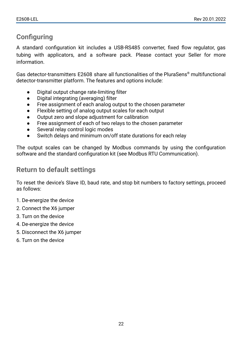## <span id="page-21-0"></span>**Configuring**

A standard configuration kit includes a USB-RS485 converter, fixed flow regulator, gas tubing with applicators, and a software pack. Please contact your Seller for more information.

Gas detector-transmitters E2608 share all functionalities of the PluraSens® multifunctional detector-transmitter platform. The features and options include:

- Digital output change rate-limiting filter
- Digital integrating (averaging) filter
- Free assignment of each analog output to the chosen parameter
- Flexible setting of analog output scales for each output
- Output zero and slope adjustment for calibration
- Free assignment of each of two relays to the chosen parameter
- Several relay control logic modes
- Switch delays and minimum on/off state durations for each relay

The output scales can be changed by Modbus commands by using the configuration software and the standard configuration kit (see Modbus RTU Communication).

#### <span id="page-21-1"></span>**Return to default settings**

To reset the device's Slave ID, baud rate, and stop bit numbers to factory settings, proceed as follows:

- 1. De-energize the device
- 2. Connect the X6 jumper
- 3. Turn on the device
- 4. De-energize the device
- 5. Disconnect the X6 jumper
- 6. Turn on the device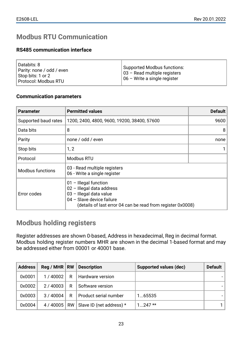## <span id="page-22-0"></span>**Modbus RTU Communication**

#### <span id="page-22-1"></span>**RS485 communication interface**

| ∣Databits: 8<br>  Parity: none / odd / even <br>l Stop bits: 1 or 2 l<br>  Protocol: Modbus RTU | Supported Modbus functions:<br>  03 - Read multiple registers<br>  06 - Write a single register |
|-------------------------------------------------------------------------------------------------|-------------------------------------------------------------------------------------------------|
|-------------------------------------------------------------------------------------------------|-------------------------------------------------------------------------------------------------|

#### <span id="page-22-2"></span>**Communication parameters**

| <b>Parameter</b>     | <b>Permitted values</b>                                                                                                                                                       | <b>Default</b> |
|----------------------|-------------------------------------------------------------------------------------------------------------------------------------------------------------------------------|----------------|
| Supported baud rates | 1200, 2400, 4800, 9600, 19200, 38400, 57600                                                                                                                                   | 9600           |
| Data bits            | 8                                                                                                                                                                             | 8              |
| Parity               | none / odd / even                                                                                                                                                             | none           |
| Stop bits            | 1, 2                                                                                                                                                                          |                |
| Protocol             | Modbus RTU                                                                                                                                                                    |                |
| Modbus functions     | 03 - Read multiple registers<br>06 - Write a single register                                                                                                                  |                |
| Error codes          | $01$ – Illegal function<br>$02$ – Illegal data address<br>03 - Illegal data value<br>04 - Slave device failure<br>(details of last error 04 can be read from register 0x0008) |                |

#### <span id="page-22-3"></span>**Modbus holding registers**

Register addresses are shown 0-based, Address in hexadecimal, Reg in decimal format. Modbus holding register numbers MHR are shown in the decimal 1-based format and may be addressed either from 00001 or 40001 base.

| <b>Address</b> | $\text{Re}q / \text{MHR}$ RW |   | Description                                 | Supported values (dec) | Default |
|----------------|------------------------------|---|---------------------------------------------|------------------------|---------|
| 0x0001         | 1/40002                      | R | Hardware version                            |                        |         |
| 0x0002         | 2/40003                      | R | Software version                            |                        |         |
| 0x0003         | 3/40004                      | R | Product serial number                       | 165535                 |         |
| 0x0004         |                              |   | 4 / 40005   RW   Slave ID (net address) $*$ | $1.247**$              |         |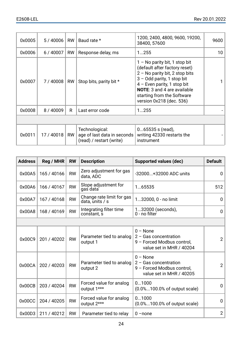| 0x0005 | 5/40006    | <b>RW</b> | Baud rate *                                                               | 1200, 2400, 4800, 9600, 19200,<br>38400.57600                                                                                                                                                                                                                         | 9600 |
|--------|------------|-----------|---------------------------------------------------------------------------|-----------------------------------------------------------------------------------------------------------------------------------------------------------------------------------------------------------------------------------------------------------------------|------|
| 0x0006 | 6 / 40007  | <b>RW</b> | Response delay, ms                                                        | 1255                                                                                                                                                                                                                                                                  | 10   |
| 0x0007 | 7 / 40008  | RW        | Stop bits, parity bit *                                                   | $1 -$ No parity bit, 1 stop bit<br>(default after factory reset)<br>$2 -$ No parity bit, 2 stop bits<br>$3 -$ Odd parity, 1 stop bit<br>$4$ – Even parity, 1 stop bit<br><b>NOTE:</b> 3 and 4 are available<br>starting from the Software<br>version 0x218 (dec. 536) |      |
| 0x0008 | 8 / 40009  | R         | Last error code                                                           | 1255                                                                                                                                                                                                                                                                  |      |
|        |            |           |                                                                           |                                                                                                                                                                                                                                                                       |      |
| 0x0011 | 17 / 40018 | <b>RW</b> | Technological:<br>age of last data in seconds<br>(read) / restart (write) | $065535$ s (read),<br>writing 42330 restarts the<br>instrument                                                                                                                                                                                                        |      |

| <b>Address</b> | Reg / MHR   | <b>RW</b> | <b>Description</b>                           | Supported values (dec)                                                                          | <b>Default</b> |
|----------------|-------------|-----------|----------------------------------------------|-------------------------------------------------------------------------------------------------|----------------|
| 0x00A5         | 165 / 40166 | <b>RW</b> | Zero adjustment for gas<br>data, ADC         | -32000+32000 ADC units                                                                          | 0              |
| 0x00A6         | 166 / 40167 | <b>RW</b> | Slope adjustment for<br>gas data             | 1.65535                                                                                         | 512            |
| 0x00A7         | 167 / 40168 | <b>RW</b> | Change rate limit for gas<br>data, units / s | 132000.0 - no limit                                                                             | 0              |
| 0x00A8         | 168 / 40169 | <b>RW</b> | Integrating filter time<br>constant, s       | 132000 (seconds),<br>0 - no filter                                                              | $\Omega$       |
|                |             |           |                                              |                                                                                                 |                |
| 0x00C9         | 201 / 40202 | <b>RW</b> | Parameter tied to analog<br>output 1         | $0 - None$<br>$2 - Gas concentration$<br>9 - Forced Modbus control,<br>value set in MHR / 40204 | $\overline{2}$ |
| 0x00CA         | 202 / 40203 | <b>RW</b> | Parameter tied to analog<br>output 2         | $0 - None$<br>$2 - Gas concentration$<br>9 - Forced Modbus control,<br>value set in MHR / 40205 | $\overline{2}$ |
| 0x00CB         | 203 / 40204 | <b>RW</b> | Forced value for analog<br>output 1***       | 01000<br>$(0.0\%100.0\%$ of output scale)                                                       | $\Omega$       |
| 0x00CC         | 204 / 40205 | <b>RW</b> | Forced value for analog<br>output 2***       | 01000<br>$(0.0\%100.0\%$ of output scale)                                                       | $\Omega$       |
| 0x00D3         | 211 / 40212 | <b>RW</b> | Parameter tied to relay                      | $0$ -none                                                                                       | $\overline{2}$ |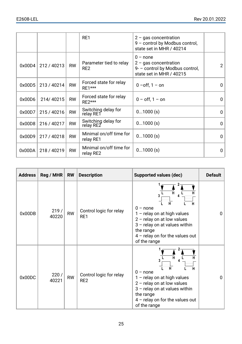|        |             |           | RE1                                        | $2 - gas concentration$<br>9 - control by Modbus control,<br>state set in MHR / 40214                |                |
|--------|-------------|-----------|--------------------------------------------|------------------------------------------------------------------------------------------------------|----------------|
| 0x00D4 | 212 / 40213 | <b>RW</b> | Parameter tied to relay<br>RE <sub>2</sub> | $0$ – none<br>$2 - gas concentration$<br>9- - control by Modbus control,<br>state set in MHR / 40215 | $\overline{2}$ |
| 0x00D5 | 213 / 40214 | <b>RW</b> | Forced state for relay<br>RE1***           | $0 - off$ . 1 – on                                                                                   | $\Omega$       |
| 0x00D6 | 214/40215   | <b>RW</b> | Forced state for relay<br>$RF2***$         | $0 - off$ . 1 – on                                                                                   | 0              |
| 0x00D7 | 215 / 40216 | <b>RW</b> | Switching delay for<br>relay RE1           | 01000(s)                                                                                             | 0              |
| 0x00D8 | 216 / 40217 | <b>RW</b> | Switching delay for<br>relay RE2           | $01000$ (s)                                                                                          | $\Omega$       |
| 0x00D9 | 217 / 40218 | <b>RW</b> | Minimal on/off time for<br>relay RE1       | 01000(s)                                                                                             | 0              |
| 0x00DA | 218 / 40219 | <b>RW</b> | Minimal on/off time for<br>relay RE2       | $01000$ (s)                                                                                          | 0              |

| <b>Address</b> | $Reg / MHR$ RW |           | <b>Description</b>                         | Supported values (dec)                                                                                                                                                                           | Default  |
|----------------|----------------|-----------|--------------------------------------------|--------------------------------------------------------------------------------------------------------------------------------------------------------------------------------------------------|----------|
| 0x00DB         | 219/<br>40220  | <b>RW</b> | Control logic for relay<br>RE1             | Ĥ<br>3<br>н<br>н<br>$0$ – none<br>1 - relay on at high values<br>$2$ – relay on at low values<br>3 - relay on at values within<br>the range<br>$4$ – relay on for the values out<br>of the range | 0        |
| 0x00DC         | 220/<br>40221  | <b>RW</b> | Control logic for relay<br>RE <sub>2</sub> | н<br>н<br>н<br>$0$ – none<br>$1 -$ relay on at high values<br>$2$ – relay on at low values<br>$3$ – relay on at values within<br>the range<br>$4$ – relay on for the values out<br>of the range  | $\Omega$ |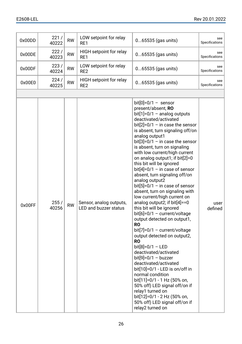| 0x00DD | 221/<br>40222 | <b>RW</b> | LOW setpoint for relay<br>RE1                           | $065535$ (gas units)                                                                                                                                                                                                                                                                                                                                                                                                                                                                                                                                                                                                                                                                                                                                                                                                                                                                                                                                                                                                                                                                                                      | see<br>Specifications |
|--------|---------------|-----------|---------------------------------------------------------|---------------------------------------------------------------------------------------------------------------------------------------------------------------------------------------------------------------------------------------------------------------------------------------------------------------------------------------------------------------------------------------------------------------------------------------------------------------------------------------------------------------------------------------------------------------------------------------------------------------------------------------------------------------------------------------------------------------------------------------------------------------------------------------------------------------------------------------------------------------------------------------------------------------------------------------------------------------------------------------------------------------------------------------------------------------------------------------------------------------------------|-----------------------|
| 0x00DE | 222/<br>40223 | <b>RW</b> | HIGH setpoint for relay<br>RE1                          | $065535$ (gas units)                                                                                                                                                                                                                                                                                                                                                                                                                                                                                                                                                                                                                                                                                                                                                                                                                                                                                                                                                                                                                                                                                                      | see<br>Specifications |
| 0x00DF | 223/<br>40224 | <b>RW</b> | LOW setpoint for relay<br>RE <sub>2</sub>               | 065535 (gas units)                                                                                                                                                                                                                                                                                                                                                                                                                                                                                                                                                                                                                                                                                                                                                                                                                                                                                                                                                                                                                                                                                                        | see<br>Specifications |
| 0x00E0 | 224/<br>40225 | <b>RW</b> | HIGH setpoint for relay<br>RE <sub>2</sub>              | 065535 (gas units)                                                                                                                                                                                                                                                                                                                                                                                                                                                                                                                                                                                                                                                                                                                                                                                                                                                                                                                                                                                                                                                                                                        | see<br>Specifications |
|        |               |           |                                                         |                                                                                                                                                                                                                                                                                                                                                                                                                                                                                                                                                                                                                                                                                                                                                                                                                                                                                                                                                                                                                                                                                                                           |                       |
| 0x00FF | 255/<br>40256 | <b>RW</b> | Sensor, analog outputs,<br><b>LED and buzzer status</b> | bit[0]= $0/1 -$ sensor<br>present/absent, RO<br>bit[1]= $0/1 -$ analog outputs<br>deactivated/activated<br>bit[2]=0/1 - in case the sensor<br>is absent, turn signaling off/on<br>analog output1<br>bit[3]= $0/1 -$ in case the sensor<br>is absent, turn on signaling<br>with low current/high current<br>on analog output1; if bit[2]=0<br>this bit will be ignored<br>bit[4]= $0/1 -$ in case of sensor<br>absent, turn signaling off/on<br>analog output2<br>bit[5]= $0/1 -$ in case of sensor<br>absent, turn on signaling with<br>low current/high current on<br>analog output2; if bit[4]==0<br>this bit will be ignored<br>$bit[6]=0/1 - current/voltage$<br>output detected on output1,<br><b>RO</b><br>$bit[7]=0/1 - current/volt =$<br>output detected on output2,<br><b>RO</b><br>$bit[8]=0/1 - LED$<br>deactivated/activated<br>$bit[9]=0/1 - buzzer$<br>deactivated/activated<br>bit[10]=0/1 - LED is on/off in<br>normal condition<br>bit[11]=0/1 - 1 Hz (50% on,<br>50% off) LED signal off/on if<br>relay1 turned on<br>bit[12]=0/1 - 2 Hz (50% on,<br>50% off) LED signal off/on if<br>relay2 turned on | user<br>defined       |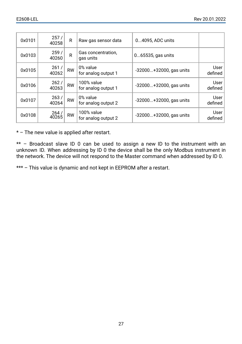| 0x0101 | 257/<br>40258 | R         | Raw gas sensor data               | 04095. ADC units           |                   |
|--------|---------------|-----------|-----------------------------------|----------------------------|-------------------|
| 0x0103 | 259/<br>40260 | R         | Gas concentration,<br>gas units   | 065535, gas units          |                   |
| 0x0105 | 261/<br>40262 | <b>RW</b> | 0% value<br>for analog output 1   | $-32000+32000$ , gas units | User  <br>defined |
| 0x0106 | 262/<br>40263 | <b>RW</b> | 100% value<br>for analog output 1 | $-32000+32000$ , gas units | User  <br>defined |
| 0x0107 | 263/<br>40264 | <b>RW</b> | 0% value<br>for analog output 2   | $-32000+32000$ , gas units | User  <br>defined |
| 0x0108 | 264/<br>40265 | <b>RW</b> | 100% value<br>for analog output 2 | $-32000+32000$ , gas units | User  <br>defined |

\* – The new value is applied after restart.

\*\* – Broadcast slave ID 0 can be used to assign a new ID to the instrument with an unknown ID. When addressing by ID 0 the device shall be the only Modbus instrument in the network. The device will not respond to the Master command when addressed by ID 0.

\*\*\* – This value is dynamic and not kept in EEPROM after a restart.